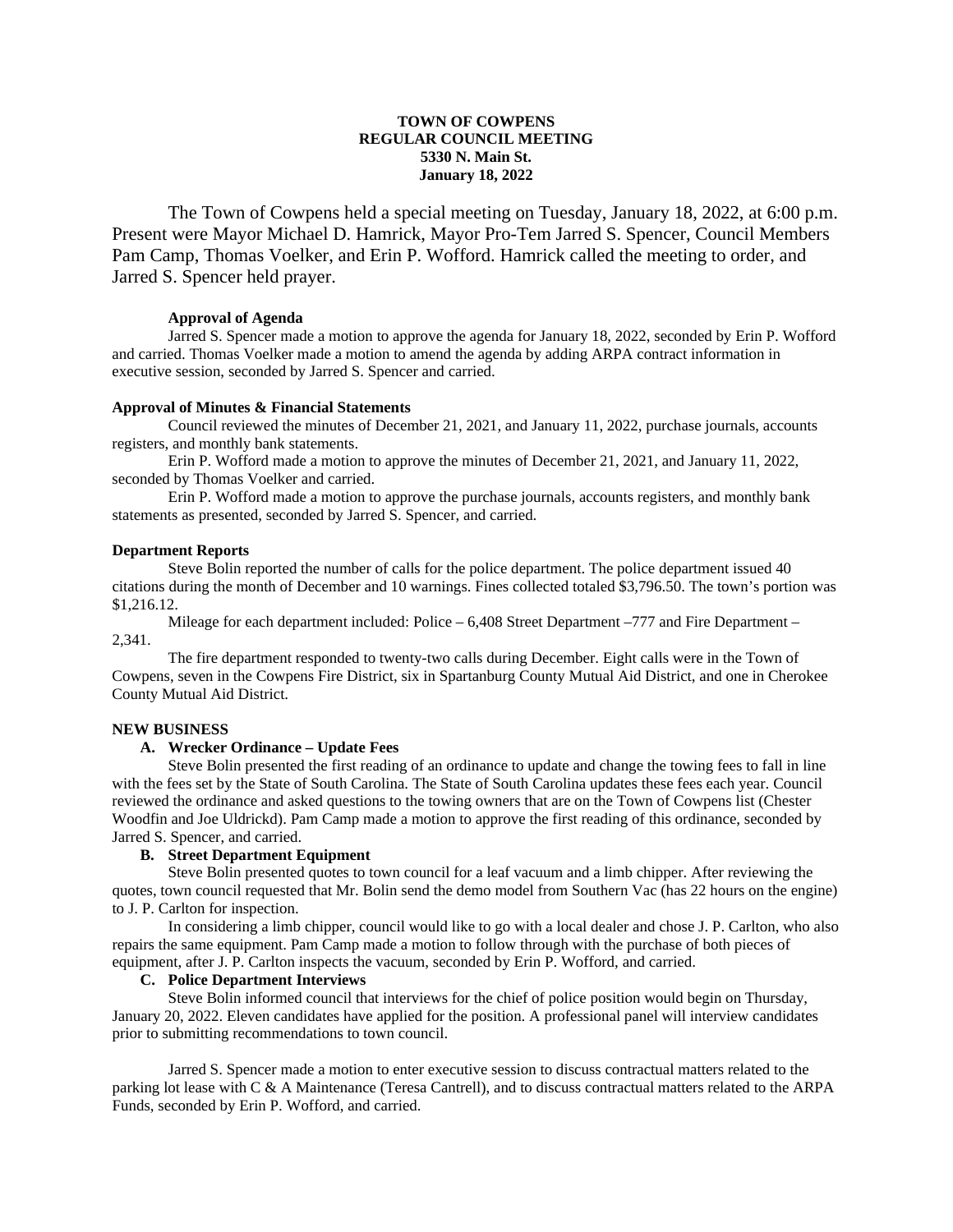## **TOWN OF COWPENS REGULAR COUNCIL MEETING 5330 N. Main St. January 18, 2022**

The Town of Cowpens held a special meeting on Tuesday, January 18, 2022, at 6:00 p.m. Present were Mayor Michael D. Hamrick, Mayor Pro-Tem Jarred S. Spencer, Council Members Pam Camp, Thomas Voelker, and Erin P. Wofford. Hamrick called the meeting to order, and Jarred S. Spencer held prayer.

### **Approval of Agenda**

Jarred S. Spencer made a motion to approve the agenda for January 18, 2022, seconded by Erin P. Wofford and carried. Thomas Voelker made a motion to amend the agenda by adding ARPA contract information in executive session, seconded by Jarred S. Spencer and carried.

#### **Approval of Minutes & Financial Statements**

Council reviewed the minutes of December 21, 2021, and January 11, 2022, purchase journals, accounts registers, and monthly bank statements.

Erin P. Wofford made a motion to approve the minutes of December 21, 2021, and January 11, 2022, seconded by Thomas Voelker and carried.

Erin P. Wofford made a motion to approve the purchase journals, accounts registers, and monthly bank statements as presented, seconded by Jarred S. Spencer, and carried.

#### **Department Reports**

Steve Bolin reported the number of calls for the police department. The police department issued 40 citations during the month of December and 10 warnings. Fines collected totaled \$3,796.50. The town's portion was \$1,216.12.

Mileage for each department included: Police – 6,408 Street Department –777 and Fire Department – 2,341.

The fire department responded to twenty-two calls during December. Eight calls were in the Town of Cowpens, seven in the Cowpens Fire District, six in Spartanburg County Mutual Aid District, and one in Cherokee County Mutual Aid District.

#### **NEW BUSINESS**

#### **A. Wrecker Ordinance – Update Fees**

Steve Bolin presented the first reading of an ordinance to update and change the towing fees to fall in line with the fees set by the State of South Carolina. The State of South Carolina updates these fees each year. Council reviewed the ordinance and asked questions to the towing owners that are on the Town of Cowpens list (Chester Woodfin and Joe Uldrickd). Pam Camp made a motion to approve the first reading of this ordinance, seconded by Jarred S. Spencer, and carried.

## **B. Street Department Equipment**

Steve Bolin presented quotes to town council for a leaf vacuum and a limb chipper. After reviewing the quotes, town council requested that Mr. Bolin send the demo model from Southern Vac (has 22 hours on the engine) to J. P. Carlton for inspection.

In considering a limb chipper, council would like to go with a local dealer and chose J. P. Carlton, who also repairs the same equipment. Pam Camp made a motion to follow through with the purchase of both pieces of equipment, after J. P. Carlton inspects the vacuum, seconded by Erin P. Wofford, and carried.

### **C. Police Department Interviews**

Steve Bolin informed council that interviews for the chief of police position would begin on Thursday, January 20, 2022. Eleven candidates have applied for the position. A professional panel will interview candidates prior to submitting recommendations to town council.

Jarred S. Spencer made a motion to enter executive session to discuss contractual matters related to the parking lot lease with C & A Maintenance (Teresa Cantrell), and to discuss contractual matters related to the ARPA Funds, seconded by Erin P. Wofford, and carried.